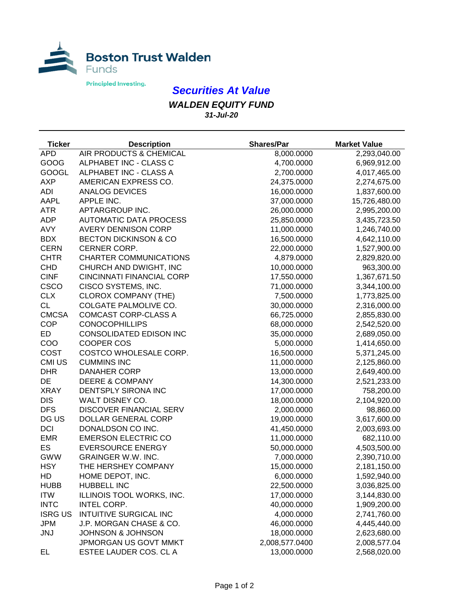

## *Securities At Value*

*WALDEN EQUITY FUND 31-Jul-20*

| <b>Ticker</b>  | <b>Description</b>               | <b>Shares/Par</b> | <b>Market Value</b> |
|----------------|----------------------------------|-------------------|---------------------|
| <b>APD</b>     | AIR PRODUCTS & CHEMICAL          | 8,000.0000        | 2,293,040.00        |
| GOOG           | ALPHABET INC - CLASS C           | 4,700.0000        | 6,969,912.00        |
| <b>GOOGL</b>   | ALPHABET INC - CLASS A           | 2,700.0000        | 4,017,465.00        |
| <b>AXP</b>     | AMERICAN EXPRESS CO.             | 24,375.0000       | 2,274,675.00        |
| <b>ADI</b>     | <b>ANALOG DEVICES</b>            | 16,000.0000       | 1,837,600.00        |
| <b>AAPL</b>    | APPLE INC.                       | 37,000.0000       | 15,726,480.00       |
| <b>ATR</b>     | APTARGROUP INC.                  | 26,000.0000       | 2,995,200.00        |
| <b>ADP</b>     | <b>AUTOMATIC DATA PROCESS</b>    | 25,850.0000       | 3,435,723.50        |
| <b>AVY</b>     | <b>AVERY DENNISON CORP</b>       | 11,000.0000       | 1,246,740.00        |
| <b>BDX</b>     | <b>BECTON DICKINSON &amp; CO</b> | 16,500.0000       | 4,642,110.00        |
| <b>CERN</b>    | CERNER CORP.                     | 22,000.0000       | 1,527,900.00        |
| <b>CHTR</b>    | <b>CHARTER COMMUNICATIONS</b>    | 4,879.0000        | 2,829,820.00        |
| <b>CHD</b>     | CHURCH AND DWIGHT, INC           | 10,000.0000       | 963,300.00          |
| <b>CINF</b>    | <b>CINCINNATI FINANCIAL CORP</b> | 17,550.0000       | 1,367,671.50        |
| <b>CSCO</b>    | CISCO SYSTEMS, INC.              | 71,000.0000       | 3,344,100.00        |
| <b>CLX</b>     | <b>CLOROX COMPANY (THE)</b>      | 7,500.0000        | 1,773,825.00        |
| <b>CL</b>      | COLGATE PALMOLIVE CO.            | 30,000.0000       | 2,316,000.00        |
| <b>CMCSA</b>   | <b>COMCAST CORP-CLASS A</b>      | 66,725.0000       | 2,855,830.00        |
| <b>COP</b>     | <b>CONOCOPHILLIPS</b>            | 68,000.0000       | 2,542,520.00        |
| <b>ED</b>      | CONSOLIDATED EDISON INC          | 35,000.0000       | 2,689,050.00        |
| COO            | <b>COOPER COS</b>                | 5,000.0000        | 1,414,650.00        |
| <b>COST</b>    | COSTCO WHOLESALE CORP.           | 16,500.0000       | 5,371,245.00        |
| CMI US         | <b>CUMMINS INC</b>               | 11,000.0000       | 2,125,860.00        |
| <b>DHR</b>     | <b>DANAHER CORP</b>              | 13,000.0000       | 2,649,400.00        |
| DE             | <b>DEERE &amp; COMPANY</b>       | 14,300.0000       | 2,521,233.00        |
| <b>XRAY</b>    | DENTSPLY SIRONA INC              | 17,000.0000       | 758,200.00          |
| <b>DIS</b>     | WALT DISNEY CO.                  | 18,000.0000       | 2,104,920.00        |
| <b>DFS</b>     | <b>DISCOVER FINANCIAL SERV</b>   | 2,000.0000        | 98,860.00           |
| DG US          | DOLLAR GENERAL CORP              | 19,000.0000       | 3,617,600.00        |
| <b>DCI</b>     | DONALDSON CO INC.                | 41,450.0000       | 2,003,693.00        |
| <b>EMR</b>     | <b>EMERSON ELECTRIC CO</b>       | 11,000.0000       | 682,110.00          |
| ES             | <b>EVERSOURCE ENERGY</b>         | 50,000.0000       | 4,503,500.00        |
| <b>GWW</b>     | <b>GRAINGER W.W. INC.</b>        | 7,000.0000        | 2,390,710.00        |
| <b>HSY</b>     | THE HERSHEY COMPANY              | 15,000.0000       | 2,181,150.00        |
| HD             | HOME DEPOT, INC.                 | 6,000.0000        | 1,592,940.00        |
| <b>HUBB</b>    | <b>HUBBELL INC</b>               | 22,500.0000       | 3,036,825.00        |
| <b>ITW</b>     | ILLINOIS TOOL WORKS, INC.        | 17,000.0000       | 3,144,830.00        |
| <b>INTC</b>    | INTEL CORP.                      | 40,000.0000       | 1,909,200.00        |
| <b>ISRG US</b> | INTUITIVE SURGICAL INC           | 4,000.0000        | 2,741,760.00        |
| <b>JPM</b>     | J.P. MORGAN CHASE & CO.          | 46,000.0000       | 4,445,440.00        |
| <b>JNJ</b>     | <b>JOHNSON &amp; JOHNSON</b>     | 18,000.0000       | 2,623,680.00        |
|                | JPMORGAN US GOVT MMKT            | 2,008,577.0400    | 2,008,577.04        |
| EL             | ESTEE LAUDER COS. CL A           | 13,000.0000       | 2,568,020.00        |